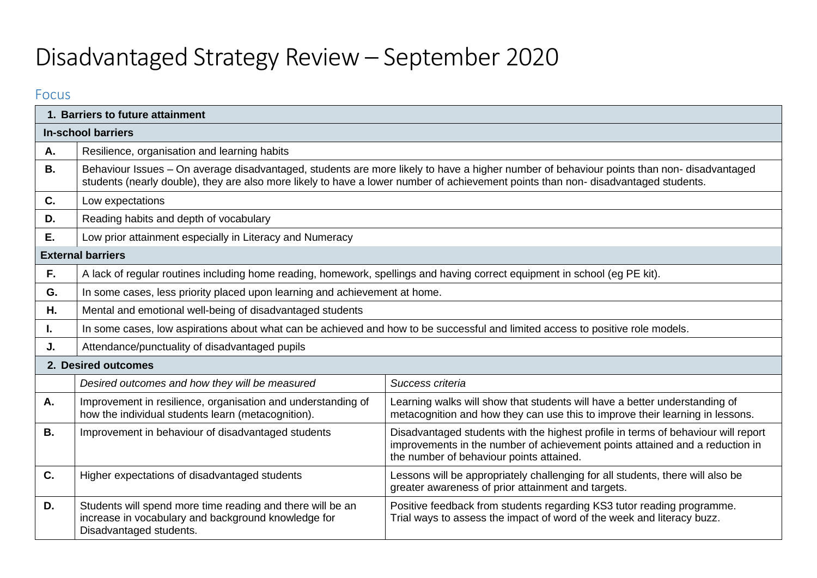# Disadvantaged Strategy Review – September 2020

### Focus

|           | 1. Barriers to future attainment                                                                                                                                                                                                                                    |                                                                                                                                                                                                                                                                               |  |  |  |
|-----------|---------------------------------------------------------------------------------------------------------------------------------------------------------------------------------------------------------------------------------------------------------------------|-------------------------------------------------------------------------------------------------------------------------------------------------------------------------------------------------------------------------------------------------------------------------------|--|--|--|
|           | <b>In-school barriers</b>                                                                                                                                                                                                                                           |                                                                                                                                                                                                                                                                               |  |  |  |
| А.        | Resilience, organisation and learning habits                                                                                                                                                                                                                        |                                                                                                                                                                                                                                                                               |  |  |  |
| <b>B.</b> |                                                                                                                                                                                                                                                                     | Behaviour Issues - On average disadvantaged, students are more likely to have a higher number of behaviour points than non-disadvantaged<br>students (nearly double), they are also more likely to have a lower number of achievement points than non-disadvantaged students. |  |  |  |
| C.        | Low expectations                                                                                                                                                                                                                                                    |                                                                                                                                                                                                                                                                               |  |  |  |
| D.        | Reading habits and depth of vocabulary                                                                                                                                                                                                                              |                                                                                                                                                                                                                                                                               |  |  |  |
| Ε.        | Low prior attainment especially in Literacy and Numeracy                                                                                                                                                                                                            |                                                                                                                                                                                                                                                                               |  |  |  |
|           | <b>External barriers</b>                                                                                                                                                                                                                                            |                                                                                                                                                                                                                                                                               |  |  |  |
| F.        | A lack of regular routines including home reading, homework, spellings and having correct equipment in school (eg PE kit).                                                                                                                                          |                                                                                                                                                                                                                                                                               |  |  |  |
| G.        | In some cases, less priority placed upon learning and achievement at home.                                                                                                                                                                                          |                                                                                                                                                                                                                                                                               |  |  |  |
| Η.        | Mental and emotional well-being of disadvantaged students                                                                                                                                                                                                           |                                                                                                                                                                                                                                                                               |  |  |  |
| ı.        | In some cases, low aspirations about what can be achieved and how to be successful and limited access to positive role models.                                                                                                                                      |                                                                                                                                                                                                                                                                               |  |  |  |
| J.        | Attendance/punctuality of disadvantaged pupils                                                                                                                                                                                                                      |                                                                                                                                                                                                                                                                               |  |  |  |
|           | 2. Desired outcomes                                                                                                                                                                                                                                                 |                                                                                                                                                                                                                                                                               |  |  |  |
|           | Desired outcomes and how they will be measured                                                                                                                                                                                                                      | Success criteria                                                                                                                                                                                                                                                              |  |  |  |
| Α.        | Improvement in resilience, organisation and understanding of<br>how the individual students learn (metacognition).                                                                                                                                                  | Learning walks will show that students will have a better understanding of<br>metacognition and how they can use this to improve their learning in lessons.                                                                                                                   |  |  |  |
| <b>B.</b> | Disadvantaged students with the highest profile in terms of behaviour will report<br>Improvement in behaviour of disadvantaged students<br>improvements in the number of achievement points attained and a reduction in<br>the number of behaviour points attained. |                                                                                                                                                                                                                                                                               |  |  |  |
| C.        | Higher expectations of disadvantaged students                                                                                                                                                                                                                       | Lessons will be appropriately challenging for all students, there will also be<br>greater awareness of prior attainment and targets.                                                                                                                                          |  |  |  |
| D.        | Students will spend more time reading and there will be an<br>increase in vocabulary and background knowledge for<br>Disadvantaged students.                                                                                                                        | Positive feedback from students regarding KS3 tutor reading programme.<br>Trial ways to assess the impact of word of the week and literacy buzz.                                                                                                                              |  |  |  |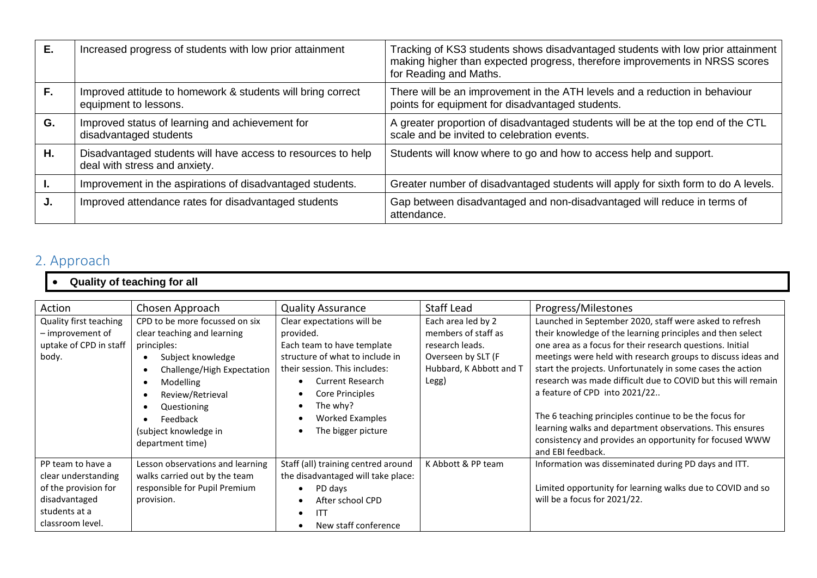| Е. | Increased progress of students with low prior attainment                                      | Tracking of KS3 students shows disadvantaged students with low prior attainment<br>making higher than expected progress, therefore improvements in NRSS scores<br>for Reading and Maths. |
|----|-----------------------------------------------------------------------------------------------|------------------------------------------------------------------------------------------------------------------------------------------------------------------------------------------|
| F. | Improved attitude to homework & students will bring correct<br>equipment to lessons.          | There will be an improvement in the ATH levels and a reduction in behaviour<br>points for equipment for disadvantaged students.                                                          |
| G. | Improved status of learning and achievement for<br>disadvantaged students                     | A greater proportion of disadvantaged students will be at the top end of the CTL<br>scale and be invited to celebration events.                                                          |
| H. | Disadvantaged students will have access to resources to help<br>deal with stress and anxiety. | Students will know where to go and how to access help and support.                                                                                                                       |
|    | Improvement in the aspirations of disadvantaged students.                                     | Greater number of disadvantaged students will apply for sixth form to do A levels.                                                                                                       |
| J. | Improved attendance rates for disadvantaged students                                          | Gap between disadvantaged and non-disadvantaged will reduce in terms of<br>attendance.                                                                                                   |

# 2. Approach

## • **Quality of teaching for all**

| Action                                                                                                                 | Chosen Approach                                                                                                                                                                                                                                 | <b>Quality Assurance</b>                                                                                                                                                                                                                            | <b>Staff Lead</b>                                                                                                      | Progress/Milestones                                                                                                                                                                                                                                                                                                                                                                                                                                                                                                                                                                                                      |
|------------------------------------------------------------------------------------------------------------------------|-------------------------------------------------------------------------------------------------------------------------------------------------------------------------------------------------------------------------------------------------|-----------------------------------------------------------------------------------------------------------------------------------------------------------------------------------------------------------------------------------------------------|------------------------------------------------------------------------------------------------------------------------|--------------------------------------------------------------------------------------------------------------------------------------------------------------------------------------------------------------------------------------------------------------------------------------------------------------------------------------------------------------------------------------------------------------------------------------------------------------------------------------------------------------------------------------------------------------------------------------------------------------------------|
| Quality first teaching<br>- improvement of<br>uptake of CPD in staff<br>body.                                          | CPD to be more focussed on six<br>clear teaching and learning<br>principles:<br>Subject knowledge<br>Challenge/High Expectation<br><b>Modelling</b><br>Review/Retrieval<br>Questioning<br>Feedback<br>(subject knowledge in<br>department time) | Clear expectations will be<br>provided.<br>Each team to have template<br>structure of what to include in<br>their session. This includes:<br><b>Current Research</b><br>Core Principles<br>The why?<br><b>Worked Examples</b><br>The bigger picture | Each area led by 2<br>members of staff as<br>research leads.<br>Overseen by SLT (F<br>Hubbard, K Abbott and T<br>Legg) | Launched in September 2020, staff were asked to refresh<br>their knowledge of the learning principles and then select<br>one area as a focus for their research questions. Initial<br>meetings were held with research groups to discuss ideas and<br>start the projects. Unfortunately in some cases the action<br>research was made difficult due to COVID but this will remain<br>a feature of CPD into 2021/22<br>The 6 teaching principles continue to be the focus for<br>learning walks and department observations. This ensures<br>consistency and provides an opportunity for focused WWW<br>and EBI feedback. |
| PP team to have a<br>clear understanding<br>of the provision for<br>disadvantaged<br>students at a<br>classroom level. | Lesson observations and learning<br>walks carried out by the team<br>responsible for Pupil Premium<br>provision.                                                                                                                                | Staff (all) training centred around<br>the disadvantaged will take place:<br>PD days<br>After school CPD<br><b>ITT</b><br>New staff conference                                                                                                      | K Abbott & PP team                                                                                                     | Information was disseminated during PD days and ITT.<br>Limited opportunity for learning walks due to COVID and so<br>will be a focus for 2021/22.                                                                                                                                                                                                                                                                                                                                                                                                                                                                       |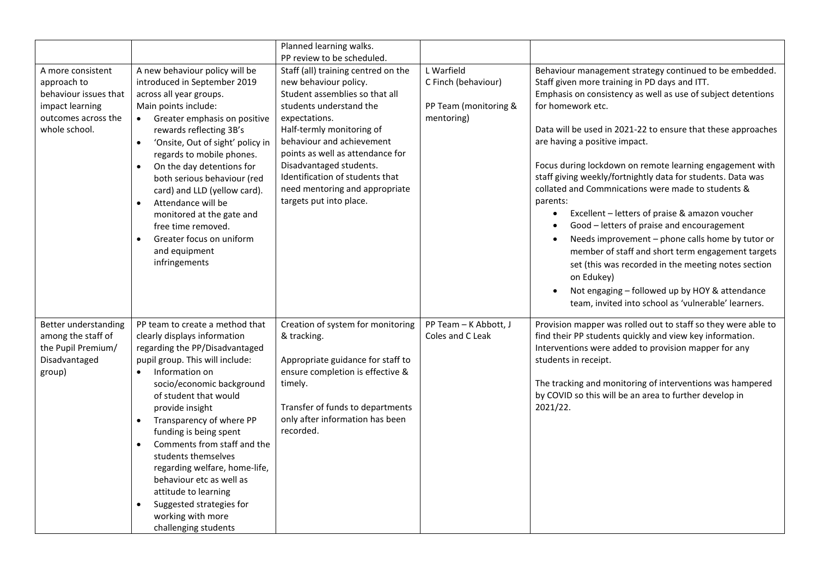|                                                                                                     |                                                                                                                                                                                                                                                                                                                                                                                                                                                                                                                                                  | Planned learning walks.                                                                                                                                                                                                  |                                                                          |                                                                                                                                                                                                                                                                                                                                                                                                                                                                                                                                                                                                                                                                                                |
|-----------------------------------------------------------------------------------------------------|--------------------------------------------------------------------------------------------------------------------------------------------------------------------------------------------------------------------------------------------------------------------------------------------------------------------------------------------------------------------------------------------------------------------------------------------------------------------------------------------------------------------------------------------------|--------------------------------------------------------------------------------------------------------------------------------------------------------------------------------------------------------------------------|--------------------------------------------------------------------------|------------------------------------------------------------------------------------------------------------------------------------------------------------------------------------------------------------------------------------------------------------------------------------------------------------------------------------------------------------------------------------------------------------------------------------------------------------------------------------------------------------------------------------------------------------------------------------------------------------------------------------------------------------------------------------------------|
| A more consistent<br>approach to<br>behaviour issues that<br>impact learning<br>outcomes across the | A new behaviour policy will be<br>introduced in September 2019<br>across all year groups.<br>Main points include:<br>Greater emphasis on positive                                                                                                                                                                                                                                                                                                                                                                                                | PP review to be scheduled.<br>Staff (all) training centred on the<br>new behaviour policy.<br>Student assemblies so that all<br>students understand the<br>expectations.                                                 | L Warfield<br>C Finch (behaviour)<br>PP Team (monitoring &<br>mentoring) | Behaviour management strategy continued to be embedded.<br>Staff given more training in PD days and ITT.<br>Emphasis on consistency as well as use of subject detentions<br>for homework etc.                                                                                                                                                                                                                                                                                                                                                                                                                                                                                                  |
| whole school.                                                                                       | rewards reflecting 3B's<br>'Onsite, Out of sight' policy in<br>$\bullet$<br>regards to mobile phones.<br>On the day detentions for<br>$\bullet$<br>both serious behaviour (red<br>card) and LLD (yellow card).<br>Attendance will be<br>monitored at the gate and<br>free time removed.<br>Greater focus on uniform<br>$\bullet$<br>and equipment<br>infringements                                                                                                                                                                               | Half-termly monitoring of<br>behaviour and achievement<br>points as well as attendance for<br>Disadvantaged students.<br>Identification of students that<br>need mentoring and appropriate<br>targets put into place.    |                                                                          | Data will be used in 2021-22 to ensure that these approaches<br>are having a positive impact.<br>Focus during lockdown on remote learning engagement with<br>staff giving weekly/fortnightly data for students. Data was<br>collated and Commnications were made to students &<br>parents:<br>Excellent - letters of praise & amazon voucher<br>$\bullet$<br>Good - letters of praise and encouragement<br>Needs improvement - phone calls home by tutor or<br>member of staff and short term engagement targets<br>set (this was recorded in the meeting notes section<br>on Edukey)<br>Not engaging - followed up by HOY & attendance<br>team, invited into school as 'vulnerable' learners. |
| Better understanding<br>among the staff of<br>the Pupil Premium/<br>Disadvantaged<br>group)         | PP team to create a method that<br>clearly displays information<br>regarding the PP/Disadvantaged<br>pupil group. This will include:<br>Information on<br>$\bullet$<br>socio/economic background<br>of student that would<br>provide insight<br>Transparency of where PP<br>funding is being spent<br>Comments from staff and the<br>$\bullet$<br>students themselves<br>regarding welfare, home-life,<br>behaviour etc as well as<br>attitude to learning<br>Suggested strategies for<br>$\bullet$<br>working with more<br>challenging students | Creation of system for monitoring<br>& tracking.<br>Appropriate guidance for staff to<br>ensure completion is effective &<br>timely.<br>Transfer of funds to departments<br>only after information has been<br>recorded. | PP Team - K Abbott, J<br>Coles and C Leak                                | Provision mapper was rolled out to staff so they were able to<br>find their PP students quickly and view key information.<br>Interventions were added to provision mapper for any<br>students in receipt.<br>The tracking and monitoring of interventions was hampered<br>by COVID so this will be an area to further develop in<br>2021/22.                                                                                                                                                                                                                                                                                                                                                   |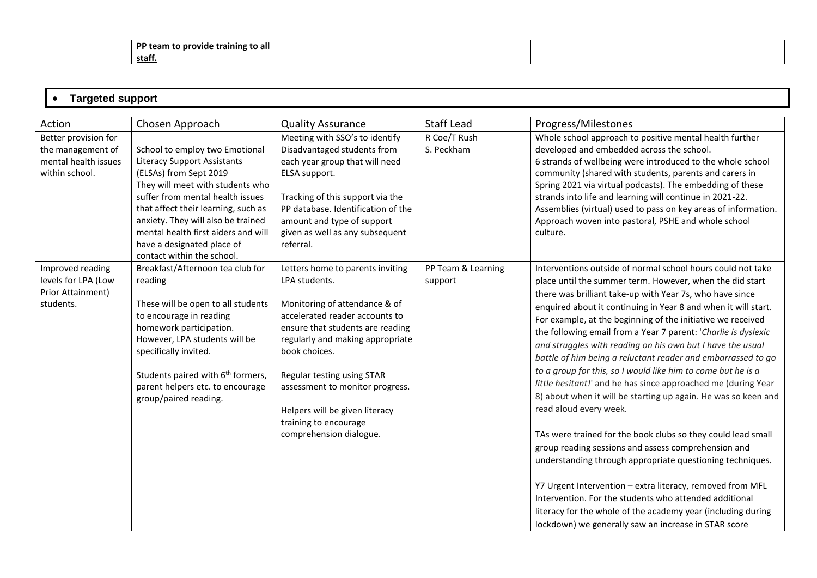| DD ·<br>' team to provide training to all |  |  |
|-------------------------------------------|--|--|
| staff.                                    |  |  |

| ----<br>$\mathbf{u}$<br>___<br>nor<br>. .<br>.<br>-- |
|------------------------------------------------------|
|                                                      |

| Action                                                                              | Chosen Approach                                                                                                                                                                                                                                                                                                                                        | <b>Quality Assurance</b>                                                                                                                                                                                                                                                                                                                                             | <b>Staff Lead</b>             | Progress/Milestones                                                                                                                                                                                                                                                                                                                                                                                                                                                                                                                                                                                                                                                                                                                                                                                                                                                                                                                                                                                                                                                                                                                                                                  |
|-------------------------------------------------------------------------------------|--------------------------------------------------------------------------------------------------------------------------------------------------------------------------------------------------------------------------------------------------------------------------------------------------------------------------------------------------------|----------------------------------------------------------------------------------------------------------------------------------------------------------------------------------------------------------------------------------------------------------------------------------------------------------------------------------------------------------------------|-------------------------------|--------------------------------------------------------------------------------------------------------------------------------------------------------------------------------------------------------------------------------------------------------------------------------------------------------------------------------------------------------------------------------------------------------------------------------------------------------------------------------------------------------------------------------------------------------------------------------------------------------------------------------------------------------------------------------------------------------------------------------------------------------------------------------------------------------------------------------------------------------------------------------------------------------------------------------------------------------------------------------------------------------------------------------------------------------------------------------------------------------------------------------------------------------------------------------------|
| Better provision for<br>the management of<br>mental health issues<br>within school. | School to employ two Emotional<br><b>Literacy Support Assistants</b><br>(ELSAs) from Sept 2019<br>They will meet with students who<br>suffer from mental health issues<br>that affect their learning, such as<br>anxiety. They will also be trained<br>mental health first aiders and will<br>have a designated place of<br>contact within the school. | Meeting with SSO's to identify<br>Disadvantaged students from<br>each year group that will need<br>ELSA support.<br>Tracking of this support via the<br>PP database. Identification of the<br>amount and type of support<br>given as well as any subsequent<br>referral.                                                                                             | R Coe/T Rush<br>S. Peckham    | Whole school approach to positive mental health further<br>developed and embedded across the school.<br>6 strands of wellbeing were introduced to the whole school<br>community (shared with students, parents and carers in<br>Spring 2021 via virtual podcasts). The embedding of these<br>strands into life and learning will continue in 2021-22.<br>Assemblies (virtual) used to pass on key areas of information.<br>Approach woven into pastoral, PSHE and whole school<br>culture.                                                                                                                                                                                                                                                                                                                                                                                                                                                                                                                                                                                                                                                                                           |
| Improved reading<br>levels for LPA (Low<br>Prior Attainment)<br>students.           | Breakfast/Afternoon tea club for<br>reading<br>These will be open to all students<br>to encourage in reading<br>homework participation.<br>However, LPA students will be<br>specifically invited.<br>Students paired with 6 <sup>th</sup> formers,<br>parent helpers etc. to encourage<br>group/paired reading.                                        | Letters home to parents inviting<br>LPA students.<br>Monitoring of attendance & of<br>accelerated reader accounts to<br>ensure that students are reading<br>regularly and making appropriate<br>book choices.<br>Regular testing using STAR<br>assessment to monitor progress.<br>Helpers will be given literacy<br>training to encourage<br>comprehension dialogue. | PP Team & Learning<br>support | Interventions outside of normal school hours could not take<br>place until the summer term. However, when the did start<br>there was brilliant take-up with Year 7s, who have since<br>enquired about it continuing in Year 8 and when it will start.<br>For example, at the beginning of the initiative we received<br>the following email from a Year 7 parent: 'Charlie is dyslexic<br>and struggles with reading on his own but I have the usual<br>battle of him being a reluctant reader and embarrassed to go<br>to a group for this, so I would like him to come but he is a<br>little hesitant!' and he has since approached me (during Year<br>8) about when it will be starting up again. He was so keen and<br>read aloud every week.<br>TAs were trained for the book clubs so they could lead small<br>group reading sessions and assess comprehension and<br>understanding through appropriate questioning techniques.<br>Y7 Urgent Intervention - extra literacy, removed from MFL<br>Intervention. For the students who attended additional<br>literacy for the whole of the academy year (including during<br>lockdown) we generally saw an increase in STAR score |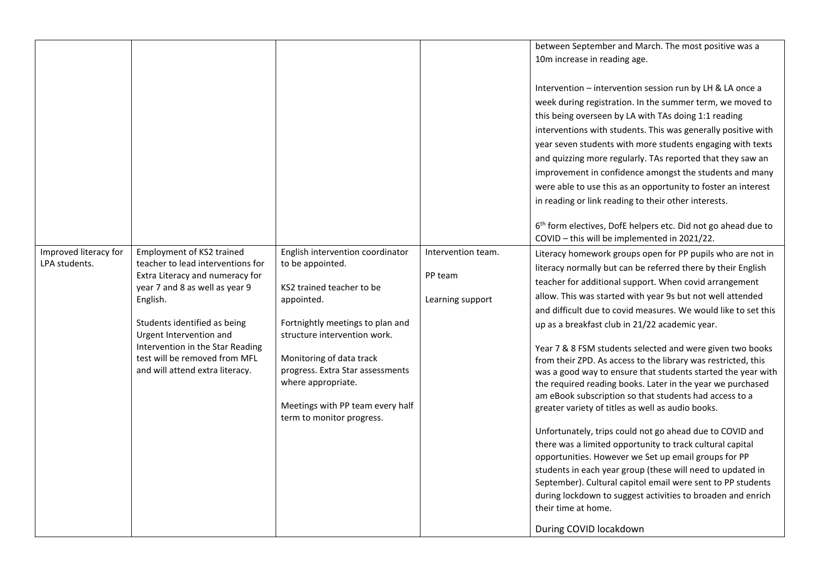| Improved literacy for<br>Employment of KS2 trained<br>English intervention coordinator<br>teacher to lead interventions for<br>LPA students.<br>to be appointed.<br>Extra Literacy and numeracy for<br>year 7 and 8 as well as year 9<br>KS2 trained teacher to be<br>English.<br>appointed.<br>Fortnightly meetings to plan and<br>Students identified as being<br>Urgent Intervention and<br>structure intervention work.<br>Intervention in the Star Reading<br>test will be removed from MFL<br>Monitoring of data track<br>and will attend extra literacy.<br>progress. Extra Star assessments<br>where appropriate.<br>Meetings with PP team every half<br>term to monitor progress. | between September and March. The most positive was a<br>10m increase in reading age.<br>Intervention - intervention session run by LH & LA once a<br>week during registration. In the summer term, we moved to<br>this being overseen by LA with TAs doing 1:1 reading<br>interventions with students. This was generally positive with<br>year seven students with more students engaging with texts<br>and quizzing more regularly. TAs reported that they saw an<br>improvement in confidence amongst the students and many<br>were able to use this as an opportunity to foster an interest<br>in reading or link reading to their other interests.<br>6 <sup>th</sup> form electives, DofE helpers etc. Did not go ahead due to<br>COVID - this will be implemented in 2021/22.<br>Intervention team.<br>Literacy homework groups open for PP pupils who are not in<br>literacy normally but can be referred there by their English<br>PP team<br>teacher for additional support. When covid arrangement<br>allow. This was started with year 9s but not well attended<br>Learning support<br>and difficult due to covid measures. We would like to set this<br>up as a breakfast club in 21/22 academic year.<br>Year 7 & 8 FSM students selected and were given two books<br>from their ZPD. As access to the library was restricted, this<br>was a good way to ensure that students started the year with<br>the required reading books. Later in the year we purchased<br>am eBook subscription so that students had access to a<br>greater variety of titles as well as audio books.<br>Unfortunately, trips could not go ahead due to COVID and<br>there was a limited opportunity to track cultural capital<br>opportunities. However we Set up email groups for PP<br>students in each year group (these will need to updated in<br>September). Cultural capitol email were sent to PP students<br>during lockdown to suggest activities to broaden and enrich<br>their time at home.<br>During COVID locakdown |
|--------------------------------------------------------------------------------------------------------------------------------------------------------------------------------------------------------------------------------------------------------------------------------------------------------------------------------------------------------------------------------------------------------------------------------------------------------------------------------------------------------------------------------------------------------------------------------------------------------------------------------------------------------------------------------------------|------------------------------------------------------------------------------------------------------------------------------------------------------------------------------------------------------------------------------------------------------------------------------------------------------------------------------------------------------------------------------------------------------------------------------------------------------------------------------------------------------------------------------------------------------------------------------------------------------------------------------------------------------------------------------------------------------------------------------------------------------------------------------------------------------------------------------------------------------------------------------------------------------------------------------------------------------------------------------------------------------------------------------------------------------------------------------------------------------------------------------------------------------------------------------------------------------------------------------------------------------------------------------------------------------------------------------------------------------------------------------------------------------------------------------------------------------------------------------------------------------------------------------------------------------------------------------------------------------------------------------------------------------------------------------------------------------------------------------------------------------------------------------------------------------------------------------------------------------------------------------------------------------------------------------------------------------------------------------------------------------------------------------|
|--------------------------------------------------------------------------------------------------------------------------------------------------------------------------------------------------------------------------------------------------------------------------------------------------------------------------------------------------------------------------------------------------------------------------------------------------------------------------------------------------------------------------------------------------------------------------------------------------------------------------------------------------------------------------------------------|------------------------------------------------------------------------------------------------------------------------------------------------------------------------------------------------------------------------------------------------------------------------------------------------------------------------------------------------------------------------------------------------------------------------------------------------------------------------------------------------------------------------------------------------------------------------------------------------------------------------------------------------------------------------------------------------------------------------------------------------------------------------------------------------------------------------------------------------------------------------------------------------------------------------------------------------------------------------------------------------------------------------------------------------------------------------------------------------------------------------------------------------------------------------------------------------------------------------------------------------------------------------------------------------------------------------------------------------------------------------------------------------------------------------------------------------------------------------------------------------------------------------------------------------------------------------------------------------------------------------------------------------------------------------------------------------------------------------------------------------------------------------------------------------------------------------------------------------------------------------------------------------------------------------------------------------------------------------------------------------------------------------------|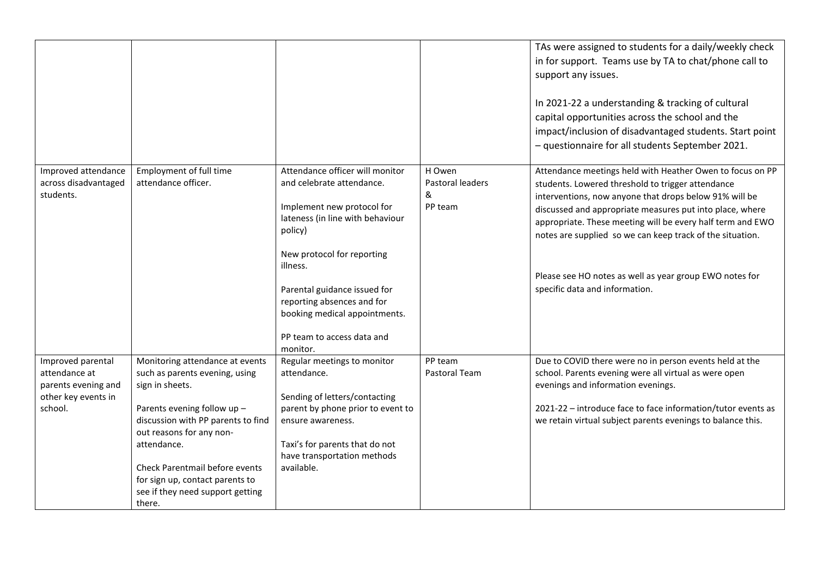|                                                                                             |                                                                                                                                                                                                                                                                                                                         |                                                                                                                                                                                                                                                                                                                              |                                            | TAs were assigned to students for a daily/weekly check<br>in for support. Teams use by TA to chat/phone call to<br>support any issues.<br>In 2021-22 a understanding & tracking of cultural<br>capital opportunities across the school and the<br>impact/inclusion of disadvantaged students. Start point<br>- questionnaire for all students September 2021.                                                                                                |
|---------------------------------------------------------------------------------------------|-------------------------------------------------------------------------------------------------------------------------------------------------------------------------------------------------------------------------------------------------------------------------------------------------------------------------|------------------------------------------------------------------------------------------------------------------------------------------------------------------------------------------------------------------------------------------------------------------------------------------------------------------------------|--------------------------------------------|--------------------------------------------------------------------------------------------------------------------------------------------------------------------------------------------------------------------------------------------------------------------------------------------------------------------------------------------------------------------------------------------------------------------------------------------------------------|
| Improved attendance<br>across disadvantaged<br>students.                                    | Employment of full time<br>attendance officer.                                                                                                                                                                                                                                                                          | Attendance officer will monitor<br>and celebrate attendance.<br>Implement new protocol for<br>lateness (in line with behaviour<br>policy)<br>New protocol for reporting<br>illness.<br>Parental guidance issued for<br>reporting absences and for<br>booking medical appointments.<br>PP team to access data and<br>monitor. | H Owen<br>Pastoral leaders<br>&<br>PP team | Attendance meetings held with Heather Owen to focus on PP<br>students. Lowered threshold to trigger attendance<br>interventions, now anyone that drops below 91% will be<br>discussed and appropriate measures put into place, where<br>appropriate. These meeting will be every half term and EWO<br>notes are supplied so we can keep track of the situation.<br>Please see HO notes as well as year group EWO notes for<br>specific data and information. |
| Improved parental<br>attendance at<br>parents evening and<br>other key events in<br>school. | Monitoring attendance at events<br>such as parents evening, using<br>sign in sheets.<br>Parents evening follow up -<br>discussion with PP parents to find<br>out reasons for any non-<br>attendance.<br>Check Parentmail before events<br>for sign up, contact parents to<br>see if they need support getting<br>there. | Regular meetings to monitor<br>attendance.<br>Sending of letters/contacting<br>parent by phone prior to event to<br>ensure awareness.<br>Taxi's for parents that do not<br>have transportation methods<br>available.                                                                                                         | PP team<br>Pastoral Team                   | Due to COVID there were no in person events held at the<br>school. Parents evening were all virtual as were open<br>evenings and information evenings.<br>2021-22 - introduce face to face information/tutor events as<br>we retain virtual subject parents evenings to balance this.                                                                                                                                                                        |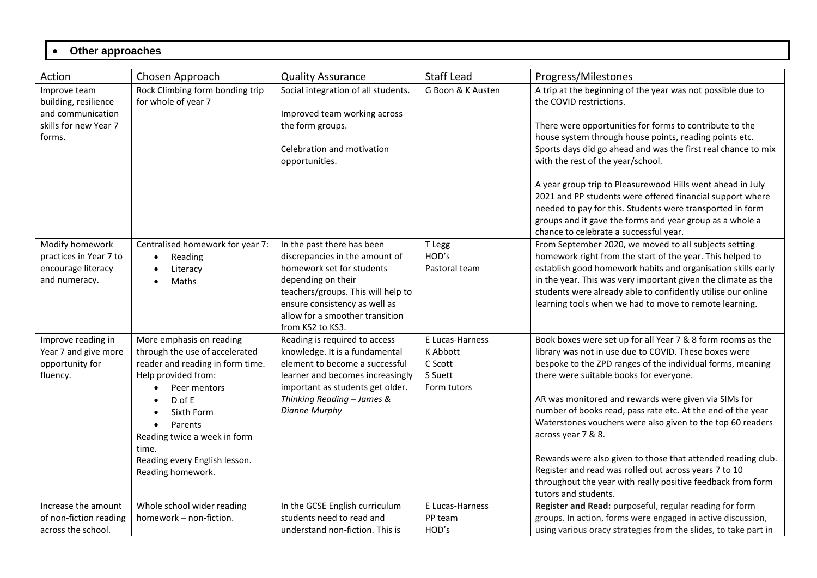#### • **Other approaches**

| Action                                                                                       | Chosen Approach                                                                                                                                                                                                                                                           | <b>Quality Assurance</b>                                                                                                                                                                                                                      | <b>Staff Lead</b>                                                | Progress/Milestones                                                                                                                                                                                                                                                                                                                                                                                                                                                                                                                                                                                                                                      |
|----------------------------------------------------------------------------------------------|---------------------------------------------------------------------------------------------------------------------------------------------------------------------------------------------------------------------------------------------------------------------------|-----------------------------------------------------------------------------------------------------------------------------------------------------------------------------------------------------------------------------------------------|------------------------------------------------------------------|----------------------------------------------------------------------------------------------------------------------------------------------------------------------------------------------------------------------------------------------------------------------------------------------------------------------------------------------------------------------------------------------------------------------------------------------------------------------------------------------------------------------------------------------------------------------------------------------------------------------------------------------------------|
| Improve team<br>building, resilience<br>and communication<br>skills for new Year 7<br>forms. | Rock Climbing form bonding trip<br>for whole of year 7                                                                                                                                                                                                                    | Social integration of all students.<br>Improved team working across<br>the form groups.<br>Celebration and motivation<br>opportunities.                                                                                                       | G Boon & K Austen                                                | A trip at the beginning of the year was not possible due to<br>the COVID restrictions.<br>There were opportunities for forms to contribute to the<br>house system through house points, reading points etc.<br>Sports days did go ahead and was the first real chance to mix<br>with the rest of the year/school.<br>A year group trip to Pleasurewood Hills went ahead in July<br>2021 and PP students were offered financial support where<br>needed to pay for this. Students were transported in form<br>groups and it gave the forms and year group as a whole a<br>chance to celebrate a successful year.                                          |
| Modify homework<br>practices in Year 7 to<br>encourage literacy<br>and numeracy.             | Centralised homework for year 7:<br>Reading<br>$\bullet$<br>Literacy<br>Maths                                                                                                                                                                                             | In the past there has been<br>discrepancies in the amount of<br>homework set for students<br>depending on their<br>teachers/groups. This will help to<br>ensure consistency as well as<br>allow for a smoother transition<br>from KS2 to KS3. | T Legg<br>HOD's<br>Pastoral team                                 | From September 2020, we moved to all subjects setting<br>homework right from the start of the year. This helped to<br>establish good homework habits and organisation skills early<br>in the year. This was very important given the climate as the<br>students were already able to confidently utilise our online<br>learning tools when we had to move to remote learning.                                                                                                                                                                                                                                                                            |
| Improve reading in<br>Year 7 and give more<br>opportunity for<br>fluency.                    | More emphasis on reading<br>through the use of accelerated<br>reader and reading in form time.<br>Help provided from:<br>Peer mentors<br>$D$ of E<br>Sixth Form<br>Parents<br>Reading twice a week in form<br>time.<br>Reading every English lesson.<br>Reading homework. | Reading is required to access<br>knowledge. It is a fundamental<br>element to become a successful<br>learner and becomes increasingly<br>important as students get older.<br>Thinking Reading - James &<br>Dianne Murphy                      | E Lucas-Harness<br>K Abbott<br>C Scott<br>S Suett<br>Form tutors | Book boxes were set up for all Year 7 & 8 form rooms as the<br>library was not in use due to COVID. These boxes were<br>bespoke to the ZPD ranges of the individual forms, meaning<br>there were suitable books for everyone.<br>AR was monitored and rewards were given via SIMs for<br>number of books read, pass rate etc. At the end of the year<br>Waterstones vouchers were also given to the top 60 readers<br>across year 7 & 8.<br>Rewards were also given to those that attended reading club.<br>Register and read was rolled out across years 7 to 10<br>throughout the year with really positive feedback from form<br>tutors and students. |
| Increase the amount<br>of non-fiction reading<br>across the school.                          | Whole school wider reading<br>homework - non-fiction.                                                                                                                                                                                                                     | In the GCSE English curriculum<br>students need to read and<br>understand non-fiction. This is                                                                                                                                                | E Lucas-Harness<br>PP team<br>HOD's                              | Register and Read: purposeful, regular reading for form<br>groups. In action, forms were engaged in active discussion,<br>using various oracy strategies from the slides, to take part in                                                                                                                                                                                                                                                                                                                                                                                                                                                                |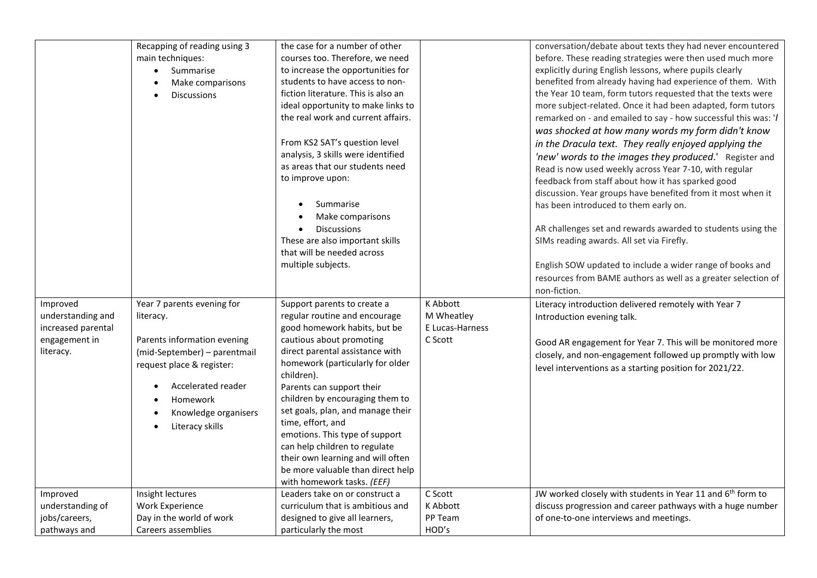|                                                                                   | Recapping of reading using 3<br>main techniques:<br>Summarise<br>$\bullet$<br>Make comparisons<br><b>Discussions</b>                                                                                             | the case for a number of other<br>courses too. Therefore, we need<br>to increase the opportunities for<br>students to have access to non-<br>fiction literature. This is also an<br>ideal opportunity to make links to<br>the real work and current affairs.<br>From KS2 SAT's question level<br>analysis, 3 skills were identified<br>as areas that our students need<br>to improve upon:<br>Summarise<br>Make comparisons<br>Discussions<br>These are also important skills<br>that will be needed across<br>multiple subjects. |                                                      | conversation/debate about texts they had never encountered<br>before. These reading strategies were then used much more<br>explicitly during English lessons, where pupils clearly<br>benefited from already having had experience of them. With<br>the Year 10 team, form tutors requested that the texts were<br>more subject-related. Once it had been adapted, form tutors<br>remarked on - and emailed to say - how successful this was: '/<br>was shocked at how many words my form didn't know<br>in the Dracula text. They really enjoyed applying the<br>'new' words to the images they produced.' Register and<br>Read is now used weekly across Year 7-10, with regular<br>feedback from staff about how it has sparked good<br>discussion. Year groups have benefited from it most when it<br>has been introduced to them early on.<br>AR challenges set and rewards awarded to students using the<br>SIMs reading awards. All set via Firefly.<br>English SOW updated to include a wider range of books and<br>resources from BAME authors as well as a greater selection of<br>non-fiction. |
|-----------------------------------------------------------------------------------|------------------------------------------------------------------------------------------------------------------------------------------------------------------------------------------------------------------|-----------------------------------------------------------------------------------------------------------------------------------------------------------------------------------------------------------------------------------------------------------------------------------------------------------------------------------------------------------------------------------------------------------------------------------------------------------------------------------------------------------------------------------|------------------------------------------------------|-----------------------------------------------------------------------------------------------------------------------------------------------------------------------------------------------------------------------------------------------------------------------------------------------------------------------------------------------------------------------------------------------------------------------------------------------------------------------------------------------------------------------------------------------------------------------------------------------------------------------------------------------------------------------------------------------------------------------------------------------------------------------------------------------------------------------------------------------------------------------------------------------------------------------------------------------------------------------------------------------------------------------------------------------------------------------------------------------------------|
| Improved<br>understanding and<br>increased parental<br>engagement in<br>literacy. | Year 7 parents evening for<br>literacy.<br>Parents information evening<br>(mid-September) - parentmail<br>request place & register:<br>Accelerated reader<br>Homework<br>Knowledge organisers<br>Literacy skills | Support parents to create a<br>regular routine and encourage<br>good homework habits, but be<br>cautious about promoting<br>direct parental assistance with<br>homework (particularly for older<br>children).<br>Parents can support their<br>children by encouraging them to<br>set goals, plan, and manage their<br>time, effort, and<br>emotions. This type of support<br>can help children to regulate<br>their own learning and will often<br>be more valuable than direct help<br>with homework tasks. (EEF)                | K Abbott<br>M Wheatley<br>E Lucas-Harness<br>C Scott | Literacy introduction delivered remotely with Year 7<br>Introduction evening talk.<br>Good AR engagement for Year 7. This will be monitored more<br>closely, and non-engagement followed up promptly with low<br>level interventions as a starting position for 2021/22.                                                                                                                                                                                                                                                                                                                                                                                                                                                                                                                                                                                                                                                                                                                                                                                                                                  |
| Improved                                                                          | Insight lectures                                                                                                                                                                                                 | Leaders take on or construct a                                                                                                                                                                                                                                                                                                                                                                                                                                                                                                    | C Scott                                              | JW worked closely with students in Year 11 and 6 <sup>th</sup> form to                                                                                                                                                                                                                                                                                                                                                                                                                                                                                                                                                                                                                                                                                                                                                                                                                                                                                                                                                                                                                                    |
| understanding of                                                                  | Work Experience                                                                                                                                                                                                  | curriculum that is ambitious and                                                                                                                                                                                                                                                                                                                                                                                                                                                                                                  | K Abbott                                             | discuss progression and career pathways with a huge number                                                                                                                                                                                                                                                                                                                                                                                                                                                                                                                                                                                                                                                                                                                                                                                                                                                                                                                                                                                                                                                |
| jobs/careers,                                                                     | Day in the world of work                                                                                                                                                                                         | designed to give all learners,                                                                                                                                                                                                                                                                                                                                                                                                                                                                                                    | PP Team                                              | of one-to-one interviews and meetings.                                                                                                                                                                                                                                                                                                                                                                                                                                                                                                                                                                                                                                                                                                                                                                                                                                                                                                                                                                                                                                                                    |
| pathways and                                                                      | Careers assemblies                                                                                                                                                                                               | particularly the most                                                                                                                                                                                                                                                                                                                                                                                                                                                                                                             | HOD's                                                |                                                                                                                                                                                                                                                                                                                                                                                                                                                                                                                                                                                                                                                                                                                                                                                                                                                                                                                                                                                                                                                                                                           |